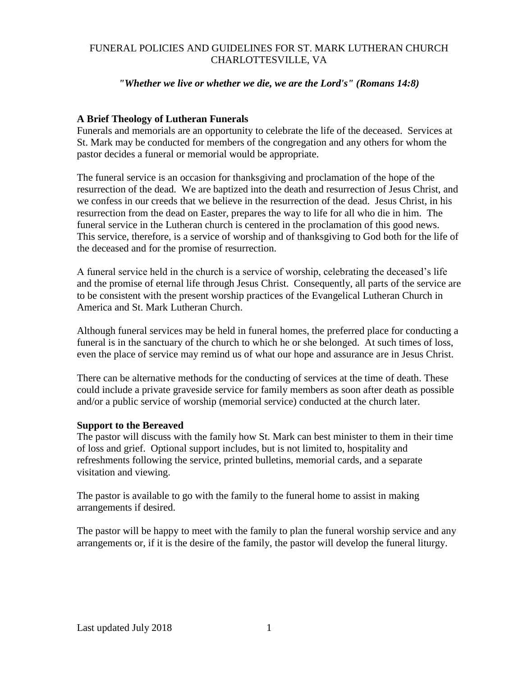## FUNERAL POLICIES AND GUIDELINES FOR ST. MARK LUTHERAN CHURCH CHARLOTTESVILLE, VA

## *"Whether we live or whether we die, we are the Lord's" (Romans 14:8)*

## **A Brief Theology of Lutheran Funerals**

Funerals and memorials are an opportunity to celebrate the life of the deceased. Services at St. Mark may be conducted for members of the congregation and any others for whom the pastor decides a funeral or memorial would be appropriate.

The funeral service is an occasion for thanksgiving and proclamation of the hope of the resurrection of the dead. We are baptized into the death and resurrection of Jesus Christ, and we confess in our creeds that we believe in the resurrection of the dead. Jesus Christ, in his resurrection from the dead on Easter, prepares the way to life for all who die in him. The funeral service in the Lutheran church is centered in the proclamation of this good news. This service, therefore, is a service of worship and of thanksgiving to God both for the life of the deceased and for the promise of resurrection.

A funeral service held in the church is a service of worship, celebrating the deceased's life and the promise of eternal life through Jesus Christ. Consequently, all parts of the service are to be consistent with the present worship practices of the Evangelical Lutheran Church in America and St. Mark Lutheran Church.

Although funeral services may be held in funeral homes, the preferred place for conducting a funeral is in the sanctuary of the church to which he or she belonged. At such times of loss, even the place of service may remind us of what our hope and assurance are in Jesus Christ.

There can be alternative methods for the conducting of services at the time of death. These could include a private graveside service for family members as soon after death as possible and/or a public service of worship (memorial service) conducted at the church later.

### **Support to the Bereaved**

The pastor will discuss with the family how St. Mark can best minister to them in their time of loss and grief. Optional support includes, but is not limited to, hospitality and refreshments following the service, printed bulletins, memorial cards, and a separate visitation and viewing.

The pastor is available to go with the family to the funeral home to assist in making arrangements if desired.

The pastor will be happy to meet with the family to plan the funeral worship service and any arrangements or, if it is the desire of the family, the pastor will develop the funeral liturgy.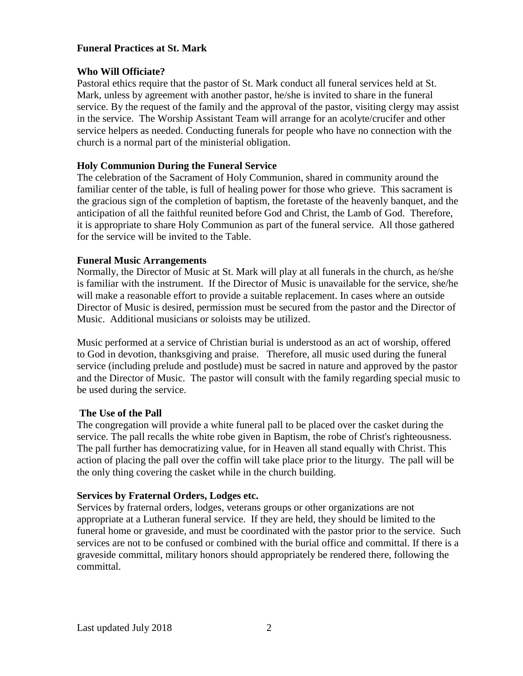## **Funeral Practices at St. Mark**

## **Who Will Officiate?**

Pastoral ethics require that the pastor of St. Mark conduct all funeral services held at St. Mark, unless by agreement with another pastor, he/she is invited to share in the funeral service. By the request of the family and the approval of the pastor, visiting clergy may assist in the service. The Worship Assistant Team will arrange for an acolyte/crucifer and other service helpers as needed. Conducting funerals for people who have no connection with the church is a normal part of the ministerial obligation.

## **Holy Communion During the Funeral Service**

The celebration of the Sacrament of Holy Communion, shared in community around the familiar center of the table, is full of healing power for those who grieve. This sacrament is the gracious sign of the completion of baptism, the foretaste of the heavenly banquet, and the anticipation of all the faithful reunited before God and Christ, the Lamb of God. Therefore, it is appropriate to share Holy Communion as part of the funeral service. All those gathered for the service will be invited to the Table.

### **Funeral Music Arrangements**

Normally, the Director of Music at St. Mark will play at all funerals in the church, as he/she is familiar with the instrument. If the Director of Music is unavailable for the service, she/he will make a reasonable effort to provide a suitable replacement. In cases where an outside Director of Music is desired, permission must be secured from the pastor and the Director of Music. Additional musicians or soloists may be utilized.

Music performed at a service of Christian burial is understood as an act of worship, offered to God in devotion, thanksgiving and praise. Therefore, all music used during the funeral service (including prelude and postlude) must be sacred in nature and approved by the pastor and the Director of Music. The pastor will consult with the family regarding special music to be used during the service.

### **The Use of the Pall**

The congregation will provide a white funeral pall to be placed over the casket during the service. The pall recalls the white robe given in Baptism, the robe of Christ's righteousness. The pall further has democratizing value, for in Heaven all stand equally with Christ. This action of placing the pall over the coffin will take place prior to the liturgy. The pall will be the only thing covering the casket while in the church building.

## **Services by Fraternal Orders, Lodges etc.**

Services by fraternal orders, lodges, veterans groups or other organizations are not appropriate at a Lutheran funeral service. If they are held, they should be limited to the funeral home or graveside, and must be coordinated with the pastor prior to the service. Such services are not to be confused or combined with the burial office and committal. If there is a graveside committal, military honors should appropriately be rendered there, following the committal.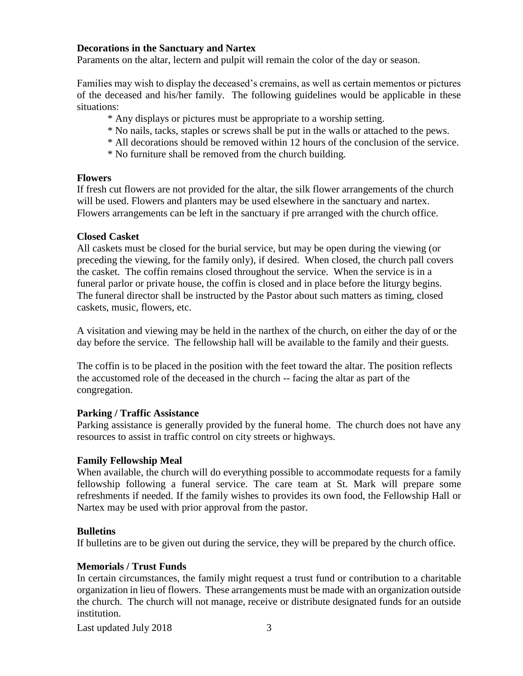### **Decorations in the Sanctuary and Nartex**

Paraments on the altar, lectern and pulpit will remain the color of the day or season.

Families may wish to display the deceased's cremains, as well as certain mementos or pictures of the deceased and his/her family. The following guidelines would be applicable in these situations:

- \* Any displays or pictures must be appropriate to a worship setting.
- \* No nails, tacks, staples or screws shall be put in the walls or attached to the pews.
- \* All decorations should be removed within 12 hours of the conclusion of the service.
- \* No furniture shall be removed from the church building.

### **Flowers**

If fresh cut flowers are not provided for the altar, the silk flower arrangements of the church will be used. Flowers and planters may be used elsewhere in the sanctuary and nartex. Flowers arrangements can be left in the sanctuary if pre arranged with the church office.

### **Closed Casket**

All caskets must be closed for the burial service, but may be open during the viewing (or preceding the viewing, for the family only), if desired. When closed, the church pall covers the casket. The coffin remains closed throughout the service. When the service is in a funeral parlor or private house, the coffin is closed and in place before the liturgy begins. The funeral director shall be instructed by the Pastor about such matters as timing, closed caskets, music, flowers, etc.

A visitation and viewing may be held in the narthex of the church, on either the day of or the day before the service. The fellowship hall will be available to the family and their guests.

The coffin is to be placed in the position with the feet toward the altar. The position reflects the accustomed role of the deceased in the church -- facing the altar as part of the congregation.

### **Parking / Traffic Assistance**

Parking assistance is generally provided by the funeral home. The church does not have any resources to assist in traffic control on city streets or highways.

### **Family Fellowship Meal**

When available, the church will do everything possible to accommodate requests for a family fellowship following a funeral service. The care team at St. Mark will prepare some refreshments if needed. If the family wishes to provides its own food, the Fellowship Hall or Nartex may be used with prior approval from the pastor.

### **Bulletins**

If bulletins are to be given out during the service, they will be prepared by the church office.

### **Memorials / Trust Funds**

In certain circumstances, the family might request a trust fund or contribution to a charitable organization in lieu of flowers. These arrangements must be made with an organization outside the church. The church will not manage, receive or distribute designated funds for an outside institution.

Last updated July 2018 3